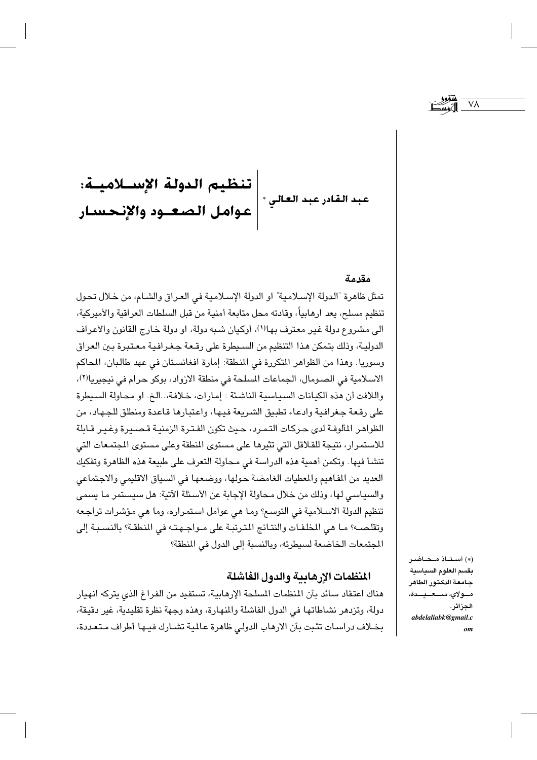تنظيم الدولة الإســـلاميــة:<br>عوامل الصـعــود والإِنحسـار عبد القادر عبد العالي \* |

#### مقدمة

تمثل ظاهرة "الدولة الإسلامية" او الدولة الإسلامية في العراق والشام، من خلال تحول تنظيم مسلح، يعد ارهابياً، وقادته محل متابعة أمنية من قبل السلطات العراقية والأميركية، الي مشروع دولة غير معترف بها(١)، أوكيان شبه دولة، او دولة خارج القانون والأعراف الدوليـة، وذلك بتمكن هـذا التنظيم من السـيطرة على رقـعـة جـغـرافـيـة مـعـتبرة بـين الـعراق وسوريا. وهذا من الظواهر المتكررة في المنطقة: إمارة افغانستان في عهد طالبان، المحاكم الاسلامية في الصومال، الجماعات المسلحة في منطقة الازواد، بوكو حرام في نيجيريا(٢)، واللافت أن هذه الكيانات السياسية الناشئة : إمارات، خلافة، الخ. او محاولة السيطرة على رقعة جغرافية وادعاء تطبيق الشريعة فيها، واعتبارها قاعدة ومنطلق للجهاد، من الظواهر المألوفة لدى حركات التمرد، حيث تكون الفترة الزمنية قصيرة وغير قـابلة للاستمرار، نتيجة للقلاقل التي تثيرها على مستوى المنطقة وعلى مستوى المجتمعات التي تنشأ فيها. وتكمن أهمية هذه الدراسة في محاولة التعرف على طبيعة هذه الظاهرة وتفكيك العديد من المفاهيم والمعطيات الغامضة حولها، ووضعها في السياق الاقليمي والاجتماعي والسياسي لها، وذلك من خلال محاولة الإجابة عن الأسئلة الآتية: هل سيستمر ما يسمى تنظيم الدولة الاسـلامية في التوسـع؟ ومـا هي عوامل اسـتمـراره، وما هي مؤشرات تراجـعه وتقلصه؟ ما هي المخلفات والنتائج المترتبة على مـواجـهـتـه في المنطقة؟ بالنسـبـة إلى المجتمعات الخاضعة لسيطرته، وبالنسبة إلى الدول في المنطقة؟

### المنظمات الارهايية والدول الفاشلة

هناك اعتقاد سائد بأن المنظمات المسلحة الإرهابية، تستفيد من الفراغ الذي يتركه انهيار دولة، وتزدهر نشاطاتها في الدول الفاشلة والمنهارة، وهذه وجهة نظرة تقليدية، غير دقيقة، بخـلاف دراسـات تثـبت بأن الارهاب الدولي ظاهرة عـللية تشـارك فيـها أطراف مـتعـددة،

(\*) أستاذ محاضر بقسم العلوم السياسية جامعة الدكتور الطاهر مــولاي، ســـعــيـــدة، الجزائر. abdelaliabk@gmail.c  $\omega$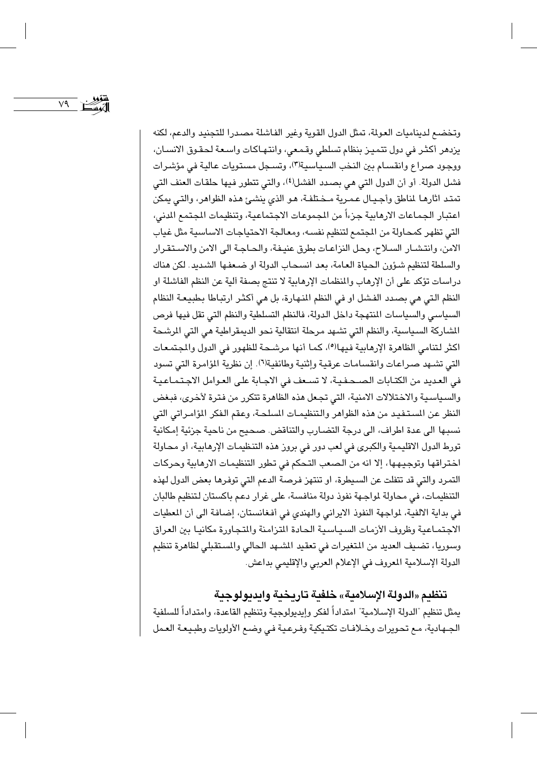v٩

وتخضع لديناميات العولة، تمثل الدول القوية وغير الفاشلة مصدرا للتجنيد والدعم، لكنه يزدهر أكثر في دول تتميز بنظام تسلطي وقمعي، وانتهاكات واسعة لحقوق الانسان، ووجود صراع وانقسام بين النخب السياسية(٣)، وتسجل مستويات عالية في مؤشرات فشل الدولة. أو أن الدول التي هي بصدد الفشل(٤)، والتي تتطور فيها حلقات العنف التي تمتد اثارهـا لمناطق وأجـيـال عـمـرية مـخـتلفـة، هـو الذي ينشـئ هـذه الظواهر، والتـي يمكن اعتبار الجماعات الارهابية جزءاً من الجموعات الاجتماعية، وتنظيمات المجتمع الدني، التي تظهر كمحاولة من المجتمع لتنظيم نفسه، ومعالجة الاحتياجات الاساسية مثل غياب الامن، وانتشـار السـلاح، وحل النزاعـات بطرق عنيـفة، والحـاجـة الى الامن والاسـتقـرار والسلطة لتنظيم شؤون الحياة العامة، بعد انسحاب الدولة او ضعفها الشديد. لكن هناك دراسات تؤكد على أن الإرهاب والمنظمات الإرهابية لا تنتج بصفة آلية عن النظم الفاشلة او النظم التي هي بصدد الفشل او في النظم المنهارة، بل هي أكثر ارتباطا بطبيعة النظام السياسي والسياسات المنتهجة داخل الدولة، فالنظم التسلطية والنظم التي تقل فيها فرص الشاركة السياسية، والنظم التي تشهد مرحلة انتقالية نحو الديمقراطية هي التي الرشحة اكثر لتنامي الظاهرة الإرهابية فيها(°)، كما أنها مرشحة للظهور في الدول والمجتمعات التي تشهد صراعات وانقسامات عرقية وإثنية وطائفية(٦). إن نظرية المؤامرة التي تسود في العديد من الكتـابات الصـحـفـيـة، لا تسـعف في الاجـابة على العـوامل الاجـتمـاعـيـة والسياسية والاختلالات الامنية، التي تجعل هذه الظاهرة تتكرر من فترة لأخرى، فبغض النظر عن المستفيد من هذه الظواهر والتنظيمـات المسلحـة، وعقم الفكر المؤامـراتي التي نسبها الى عدة اطراف، الى درجة التضارب والتناقض. صحيح من ناحية جزئية إمكانية تورط الدول الاقليمية والكبرى في لعب دور في بروز هذه التنظيمات الإرهابية، أو محاولة اختراقها وتوجيهها، إلا انه من الصعب التحكم في تطور التنظيمات الارهابية وحركات التمرد والتي قد تتفلت عن السبطرة، او تنتهز فرصة الدعم التي توفرها بعض الدول لهذه التنظيمات، في محاولة لمواجهة نفوذ دولة منافسة، على غرار دعم باكستان لتنظيم طالبان في بداية الالفية، لمواجهة النفوذ الايراني والهندي في أفغانستان، إضافة الى أن المعطيات الاجتماعية وظروف الأزمات السياسية الحادة المتزامنة والمتجاورة مكانيا بين العراق وسوريا، تضيف العديد من المتغيرات في تعقيد المشهد الحالي والمستقبلي لظاهرة تنظيم الدولة الإسلامية المعروف في الإعلام العربي والإقليمي بداعش.

## تنظيم «الدولة الإسلامية» خلفية تاريخية وايديولوجية

يمثل تنظيم "الدولة الإسلامية" امتداداً لفكر وإيديولوجية وتنظيم القاعدة، وامتداداً للسلفية الجـهادية، مـع تحويرات وخـلافـات تكتـيكية وفـرعـيـة فـى وضـع الأولويات وطبـيـعـة العـمل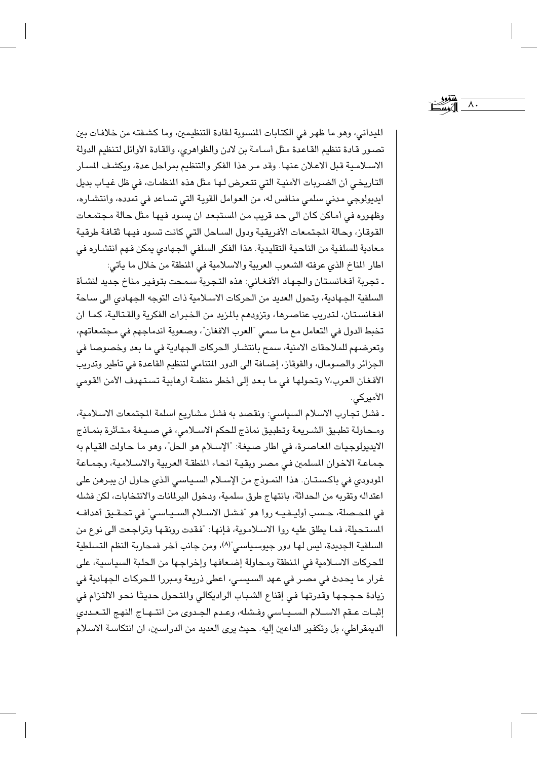الليداني، وهو ما ظهر في الكتابات المنسوبة لـقادة التنظيمين، وما كشـفتـه من خلافـات بين تصور قادة تنظيم القاعدة مثل أسامة بن لادن والظواهري، والقادة الأوائل لتنظيم الدولة الاسلامية قبل الاعلان عنها. وقد مر هذا الفكر والتنظيم بمراحل عدة، ويكشف المسار التاريخي أن الضربات الأمنية التي تتعرض لها مثل هذه المنظمات، في ظل غياب بديل ايديولوجي مدني سلمي منافس له، من العوامل القوية التي تساعد في تمدده، وانتشاره، وظهوره في أماكن كان الى حد قريب من المستبعد ان يسود فيها مثل حالة مجتمعات القوقاز، وحالة الجتمعات الأفريقية ودول الساحل التي كانت تسود فيها ثقافة طرقية معادية للسلفية من الناحية التقليدية. هذا الفكر السلفي الجـهادي يمكن فـهم انتشـاره فى اطار المناخ الذي عرفته الشعوب العربية والاسلامية في المنطقة من خلال ما يأتي:

٨.

ـ تجربة أفغانستان والجهاد الأفغاني: هذه التجربة سمحت بتوفير مناخ جديد لنشأة السلفية الجهادية، وتحول العديد من الحركات الاسلامية ذات التوجه الجهادى الى ساحة افغانستان، لتدريب عناصرها، وتزودهم بالمزيد من الخبرات الفكرية والقتالية، كما ان تخبط الدول في التعامل مع ما سمي "العرب الافغان"، وصعوبة اندماجهم في مجتمعاتهم، وتعرضهم للملاحقات الامنية، سمح بانتشار الحركات الجهادية في ما بعد وخصوصا في الجزائر والصـومال، والقوقاز، إضـافة الى الدور المتنامي لتنظيم القاعدة في تأطير وتدريب الأفغان العرب،٧ وتحولها في ما بعد إلى أخطر منظمة ارهابية تستهدف الأمن القومي الأميركي.

ـ فشل تجارب الاسلام السياسي: ونقصد به فشل مشاريع اسلمة المجتمعات الاسلامية، ومحاولة تطبيق الشريعة وتطبيق نماذج للحكم الاسلامي، في صيغة متأثرة بنماذج الايديولوجيات المعاصرة، في اطار صيغة: "الإسلام هو الحل"، وهو ما حاولت القيام به جماعة الاخوان السلمين في مصر وبقية انحاء المنطقة العربية والاسلامية، وجماعة المودودي في باكستان. هذا النموذج من الإسلام السياسي الذي حاول ان يبرهن على اعتداله وتقربه من الحداثة، بانتهاج طرق سلمية، ودخول البرلمانات والانتخابات، لكن فشله في الحـصلة، حـسب أوليـفـيـه روا هو "فـشل الاسـلام السـيـاسـي" في تحـقـيق أهدافـه المستحيلة، فما يطلق عليه روا الاسلاموية، فإنها: "فقدت رونقها وتراجعت الى نوع من السلفية الجديدة، ليس لها دور جيوسياسي"(٨)، ومن جانب آخر فمحاربة النظم التسلطية للحركات الاسلامية في المنطقة ومحاولة إضعافها وإخراجها من الحلبة السياسية، على غرار ما يحدث في مصر في عهد السيسي، اعطى ذريعة ومبررا للحركات الجهادية في زيادة حججها وقدرتها في إقناع الشباب الراديكالي والمتحول حديثا نحو الالتزام في إثبـات عـقم الاسـلام السـيـاسى وفـشله، وعـدم الجـدوى من انتـهـاج النهج التـعـددى الديمقراطي، بل وتكفير الداعين إليه. حيث يرى العديد من الدراسين، ان انتكاسة الاسلام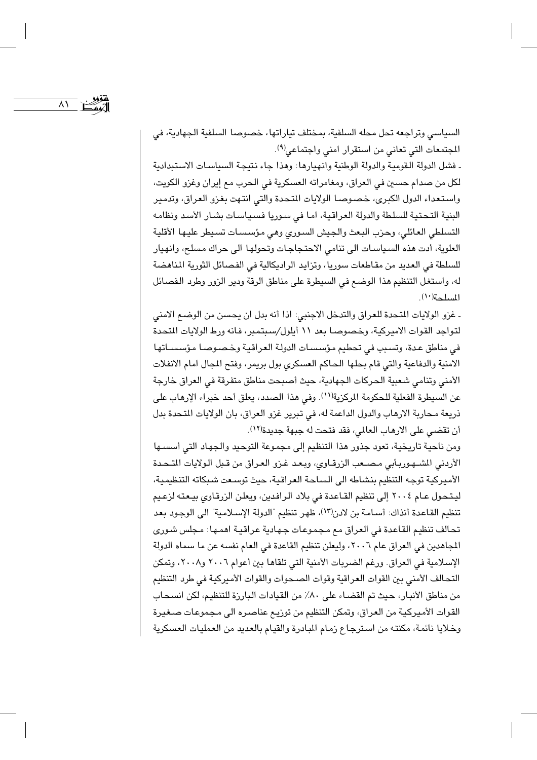$\lambda$ 

السياسي وتراجعه تحل محله السلفية، بمختلف تياراتها، خصوصا السلفية الجهادية، في المجتمعات التي تعاني من استقرار امني واجتماعي(٩).

ـ فشل الدولة القومية والدولة الوطنية وانهيارها: وهذا جاء نتيجة السياسات الاستبدادية لكل من صدام حسين في العراق، ومغامراته العسكرية في الحرب مع إيران وغزو الكويت، واستعداء الدول الكبرى، خصوصا الولايات المتحدة والتي انتهت بغزو العراق، وتدمير البنية التحتية للسلطة والدولة العراقية، اما في سوريا فسياسات بشار الأسد ونظامه التسلطي العائلي، وحزب البعث والجيش السوري وهي مؤسسات تسيطر عليها الأقلية العلوية، أدت هذه السياسات الى تنامى الاحتجاجات وتحولها الى حراك مسلح، وانهيار للسلطة في العديد من مقاطعات سوريا، وتزايد الراديكالية في الفصائل الثورية المناهضة له، واستغل التنظيم هذا الوضع في السيطرة على مناطق الرقة ودير الزور وطرد الفصائل المسلحة(١٠).

ـ غزو الولايات المتحدة للعراق والتدخل الاجنبي: اذا أنه بدل ان يحسن من الوضع الامني لتواجد القوات الاميركية، وخصوصا بعد ١١ أيلول/سبتمبر، فانه ورط الولايات المتحدة في مناطق عدة، وتسبب في تحطيم مؤسسات الدولة العراقية وخصوصا مؤسساتها الامنية والدفاعية والتي قام بحلها الحاكم العسكري بول بريمر، وفتح المجال امام الانفلات الأمني وتنامي شعبية الحركات الجهادية، حيث أصبحت مناطق متفرقة في العراق خارجة عن السيطرة الفعلية للحكومة المركزية(١١). وفي هذا الصدد، يعلق أحد خبراء الإرهاب على ذريعة مـحاربة الارهاب والدول الداعمة له، في تبرير غزو العراق، بان الولايات المتحدة بدل أن تقضى على الارهاب العالمي، فقد فتحت له جبهة جديدة(١٢).

ومن ناحية تاريخية، تعود جذور هذا التنظيم إلى مجموعة التوحيد والجهاد التي أسسـها الأردني المشهوريأبي مصعب الزرقاوي، وبعد غزو العراق من قبل الولايات المتحدة الأميركية توجه التنظيم بنشاطه الى الساحة العراقية، حيث توسعت شبكاته التنظيمية، ليتحول عـام ٢٠٠٤ إلى تنظيم القـاعدة في بلاد الرافدين، ويعلن الزرقاوي بيـعته لزعـيم تنظيم القاعدة أنذاك: أسامة بن لادن(١٣)، ظهر تنظيم "الدولة الإسلامية" الى الوجود بعد تحالف تنظيم القاعدة في العراق مع مجموعات جهادية عراقيـة اهمـها: مـجلس شـوري المجاهدين في العراق عام ٢٠٠٦، وليعلن تنظيم القاعدة في العام نفسه عن ما سماه الدولة الإسلامية في العراق. ورغم الضربات الأمنية التي تلقاها بين أعوام ٢٠٠٦ و٢٠٠٨، وتمكن التحالف الأمنى بين القوات العراقية وقوات الصحوات والقوات الأميركية في طرد التنظيم من مناطق الأنبار، حيث تم القضـاء على ٨٠٪ من القيادات البارزة للتنظيم، لكن انسـحـاب القوات الأميركية من العراق، وتمكن التنظيم من توزيـع عناصـره الى مـجـموعـات صـغـيرة وخلايا نائمة، مكنته من استرجاع زمام المبادرة والقيام بالعديد من العمليات العسكرية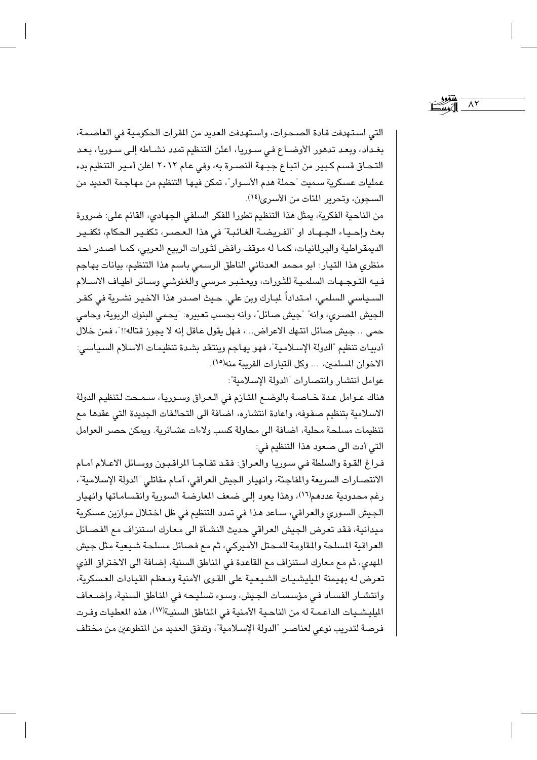التي استهدفت قادة الصحوات، واستهدفت العديد من المقرات الحكومية في العاصمة، بغداد، وبعد تدهور الأوضـاع في سـوريا، اعلن التنظيم تمدد نشـاطه إلـى سـوريا، بـعـد التحـاق قسم كبير من اتبـاع جبـهة النصـرة به، وفي عـام ٢٠١٢ اعلن أمـير التنظيم بدء عمليات عسكرية سميت "حملة هدم الأسـوار"، تمكن فيـها التنظيم من مهاجمة الـعديد من السجون، وتحرير المئات من الأسرى<sup>(١٤)</sup>.

من الناحية الفكرية، يمثل هذا التنظيم تطورا للفكر السلفي الجهادي، القائم على: ضرورة بعث وإحياء الجهـاد او "الفريضـة الغـائبـة" في هذا الـعـصـر، تكفـيـر الحكام، تكفـيـر الديمقراطية والبرلمانيات، كما له موقف رافض لثورات الربيع العربي، كما اصدر احد منظري هذا التيار: ابو محمد العدناني الناطق الرسمي باسم هذا التنظيم، بيانات يهاجم فيه التوجهات السلمية للثورات، ويعتبر مرسى والغنوشي وسائر اطياف الاسلام السـياسـي السلمي، امـتداداً لمبـارك وبن على. حـيث اصـدر هذا الاخيـر نشـرية في كفـر الجيش المصري، وانه" "جيش صائل"، وانه بحسب تعبيره: "يحمى البنوك الربوية، وحامى حمى .. جيش صائل انتهك الاعراض...، فهل يقول عاقل إنه لا يجوز قتاله!!"، فمن خلال أدبيات تنظيم "الدولة الإسلامية"، فهو يهاجم وينتقد بشدة تنظيمات الاسلام السياسي: الاخوان المسلمين، ... وكل التيارات القريبة منه(١٥).

عوامل انتشار وانتصارات "الدولة الإسلامية":

هناك عـوامل عـدة خـاصـة بالوضـع المتـازم في الـعـراق وسـوريـا، سـمـحت لـتنظيم الدولة الاسلامية بتنظيم صفوفه، واعادة انتشاره، اضافة الى التحالفات الجديدة التي عقدها مع تنظيمات مسلحة محلية، اضافة الى محاولة كسب ولاءات عشائرية. ويمكن حصر العوامل التي أدت الى صعود هذا التنظيم في:

فراغ القوة والسلطة في سوريا والعراق: فقد تفاجأ المراقبون ووسائل الاعلام أمام الانتصارات السريعة والمفاجئة، وانهيار الجيش العراقي، أمام مقاتلي "الدولة الإسلامية"، رغم محدودية عددهم(١٦)، وهذا يعود إلى ضعف المعارضة السورية وانقساماتها وانهيار الجيش السوري والعراقي، سـاعد هـذا في تمدد التنظيم في ظل اخـتـلال مـوازين عسكرية ميدانية، فقد تعرض الجيش العراقي حديث النشـأة الى معارك استنزاف مم الفصـائل العراقية المسلحة والمقاومة للمحتل الأميركي، ثم مع فصائل مسلحة شيعية مثل جيش المهدي، ثم مع معارك استنزاف مع القاعدة في المناطق السنية، إضافة الى الاختراق الذي تعرض له بهيمنة الميليشيات الشيعية على القوى الأمنية ومعظم القيادات العسكرية، وانتشـار الفسـاد في مؤسسـات الجيش، وسوء تسليحـه في المناطق السنية، وإضـعاف المليشيات الداعمة له من الناحية الأمنية في المناطق السنية(١٧)، هذه المعطيات وفرت فرصة لتدريب نوعي لعناصر "الدولة الإسلامية"، وتدفق العديد من المتطوعين من مختلف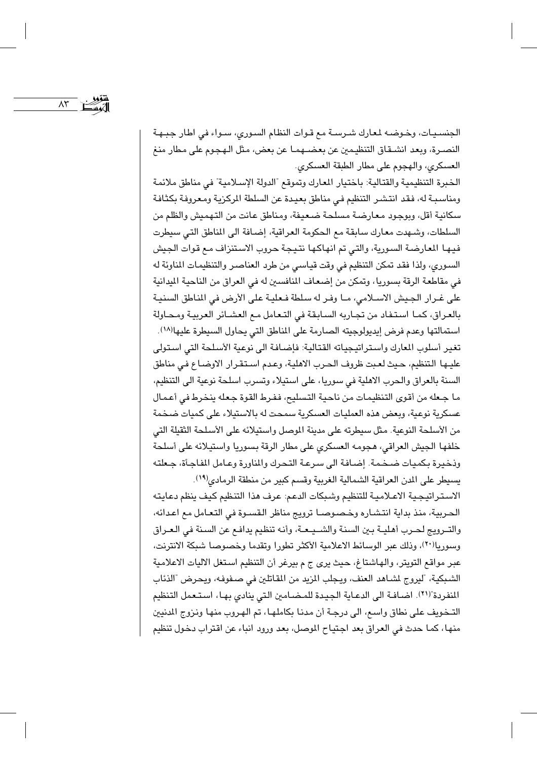$\Lambda \mathsf{r}$ 

الجنسـيـات، وخـوضـه لمعارك شـرسـة مـع قـوات النظام السـوري، سـواء في اطار جبـهـة النصـرة، وبعد انشـقـاق التنظيـمين عن بعضـهمـا عن بعض، مثل الـهـجـوم على مطار منـغ العسكري، والهجوم على مطار الطبقة العسكري.

الخبرة التنظيمية والقتالية: باختيار المعارك وتموقع "الدولة الإسلامية" في مناطق ملائمة ومناسبية له، فقد انتشر التنظيم في مناطق بعيدة عن السلطة المركزية ومعروفة بكثافة سكانية أقل، ويوجود معارضة مسلحة ضعيفة، ومناطق عانت من التهميش والظلم من السلطات، وشهدت معارك سابقة مع الحكومة العراقية، إضـافة الى المناطق التي سيطرت فيهـا المعارضـة السورية، والتي تم انهاكـها نتـيـجة حروب الاسـتنزاف مـع قوات الجيش السوري، ولذا فقد تمكن التنظيم في وقت قياسي من طرد العناصر والتنظيمات المناوئة له في مقاطعة الرقة بسوريا، وتمكن من إضعاف المنافسين له في العراق من الناحية الميدانية على غـرار الجيش الاسـلامي، مـا وفـر له سلطة فـعليـة على الأرض في المناطق السنيـة بالعراق، كما استفاد من تجاربه السابقة في التعامل مع العشـائر العربيـة ومحـاولة استمالتها وعدم فرض إيديولوجيته الصارمة على المناطق التي يحاول السيطرة عليها(١٨). تغير أسلوب المعارك واستراتيجياته القتالية: فإضافة الى نوعية الأسلحة التي استولى عليها التنظيم، حيث لعبت ظروف الحرب الاهلية، وعدم استقرار الاوضاع في مناطق السنة بالعراق والحرب الاهلية في سوريا، على استيلاء وتسرب اسلحة نوعية الى التنظيم، ما جعله من أقوى التنظيمات من ناحية التسليح، ففرط القوة جعله ينخرط في أعمال عسكرية نوعية، وبعض هذه العمليات العسكرية سمحت له بالاستيلاء على كميات ضخمة من الأسلحة النوعية. مثل سيطرته على مدينة الموصل واستيلائه على الأسلحة الثقيلة التي خلفها الجيش العراقي، هجومه العسكري على مطار الرقة بسوريا واستيلائه على أسلحة وذخيرة بكميات ضخمة. إضافة الى سرعة التحرك والمناورة وعامل الفاجأة، جعلته يسيطر على المدن العراقية الشمالية الغربية وقسم كبير من منطقة الرمادي<sup>(١٩)</sup>.

الاستراتيجية الاعـلاميـة للتنظيم وشبكات الدعم: عرف هذا التنظيم كيف ينظم دعايته الحربية، منذ بداية انتشاره وخصوصا ترويج مناظر القسوة في التعامل مع اعدائه، والتــرويج لـحـرب أهـليــة بـين السنـة والشــيـعــة، وأنـه تنظيم يدافـع عن السـنة في الـعـراق وسوريا(٢٠)، وذلك عبر الوسائط الاعلامية الأكثر تطورا وتقدما وخصوصا شبكة الانترنت، عبر مواقع التويتر، والهاشتاغ، حيث يرى ج م بيرغر أن التنظيم استغل الاليات الاعلامية الشبكية، "ليروج لشاهد العنف، ويجلب المزيد من المقاتلين في صـفوفـه، ويحرض "الذئاب المنفردة"(٢١). اضـافـة الى الدعـاية الـجيـدة للمـضـامين الـتي ينادي بهـا، اسـتـعمل التنظيم التـخـويف على نطاق واسـع، الى درجـة أن مدنـا بكاملهـا، تم الهـروب منها ونـزوج المدنيين منها، كما حدث في العراق بعد اجتياح الموصل، بعد ورود انباء عن اقتراب دخول تنظيم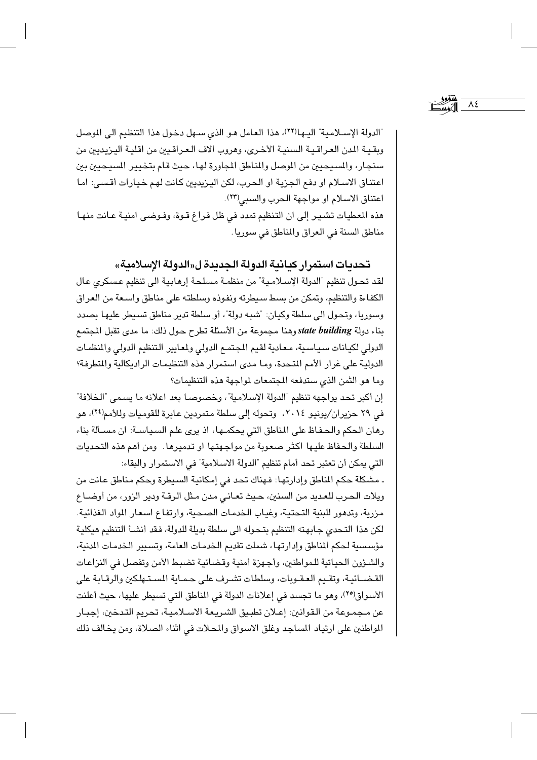"الدولة الإسـلامية" اليـها(٢٢)، هذا العامل هـو الذي سـهل دخـول هذا التنظيم الى الموصل وبقية المدن العراقية السنية الأخرى، وهروب الاف العراقيين من اقلية اليزيديين من سنجار، والمسيحيين من الموصل والمناطق المجاورة لها، حيث قام بتخيير المسيحيين بين اعتناق الاسلام او دفع الجزية او الحرب، لكن اليزيديين كانت لهم خيارات أقسى: اما اعتناق الاسلام او مواجهة الحرب والسبي(٢٣). هذه المعطيات تشير إلى ان التنظيم تمدد في ظل فراغ قـوة، وفـوضـى امنيـة عـانت منهـا مناطق السنة في العراق والمناطق في سوريا.

٨٤

تحديات استمرار كيانية الدولة الجديدة ل«الدولة الإسلامية»

لقد تحول تنظيم "الدولة الإسلامية" من منظمة مسلحة إرهابية الى تنظيم عسكرى عال الكفاءة والتنظيم، وتمكن من بسط سيطرته ونفوذه وسلطته على مناطق واسعة من العراق وسوريا، وتحول الى سلطة وكيان: "شبه دولة"، أو سلطة تدير مناطق تسيطر عليها بصدد بناء دولة state building وهنا مجموعة من الأسئلة تطرح حول ذلك: ما مدى تقبل المجتمع الدولي لكيانات سياسية، معادية لقيم المجتمع الدولي ولعايير التنظيم الدولي والمنظمات الدولية على غرار الأمم المتحدة، وما مدى استمرار هذه التنظيمات الراديكالية والمتطرفة؟ وما هو الثمن الذي ستدفعه المجتمعات لمواجهة هذه التنظيمات؟

إن أكبر تحد يواجهه تنظيم "الدولة الإسلامية"، وخصوصا بعد اعلانه ما يسمى "الخلافة" في ٢٩ حزيران/يونيو ٢٠١٤، وتحوله إلى سلطة متمردين عابرة للقوميات وللأمم<sup>(٢٤)</sup>، هو رهان الحكم والحفاظ على المناطق التي يحكمها، اذ يرى علم السياسة: ان مسألة بناء السلطة والحفاظ عليها اكثر صعوبة من مواجهتها او تدميرها. ومن أهم هذه التحديات التي يمكن أن تعتبر تحد أمام تنظيم "الدولة الاسلامية" في الاستمرار والبقاء:

ـ مشكلة حكم المناطق وإدارتها: فهناك تحد في إمكانية السيطرة وحكم مناطق عانت من ويلات الحرب للعديد من السنين، حيث تعانى مدن مثل الرقة ودير الزور، من أوضاع مزرية، وتدهور للبنية التحتية، وغياب الخدمات الصحية، وارتفاع اسعار المواد الغذائية. لكن هذا التحدي جابهته التنظيم بتحوله الى سلطة بديلة للدولة، فقد أنشـأ التنظيم هيكلية مؤسسية لحكم المناطق وإدارتها، شملت تقديم الخدمات العامة، وتسبير الخدمات المدنية، والشئورن الحياتية للمواطنين، وأجهزة أمنية وقضائية تضبط الأمن وتفصل في النزاعات القضـائيـة، وتقـيم العـقـوبات، وسلطات تشـرف علـى حـمـاية المسـتـهلكين والرقـابـة على الأسواق(٢٥)، وهو ما تجسد في إعلانات الدولة في المناطق التي تسيطر عليها، حيث أعلنت عن مـجـمـوعـة من الـقـوانين: إعــلان تطبـيق الشـريـعـة الاســلامـيـة، تـحريم التـدخين، إجبــار المواطنين على ارتياد المساجد وغلق الاسواق والمحلات في اثناء الصلاة، ومن يخالف ذلك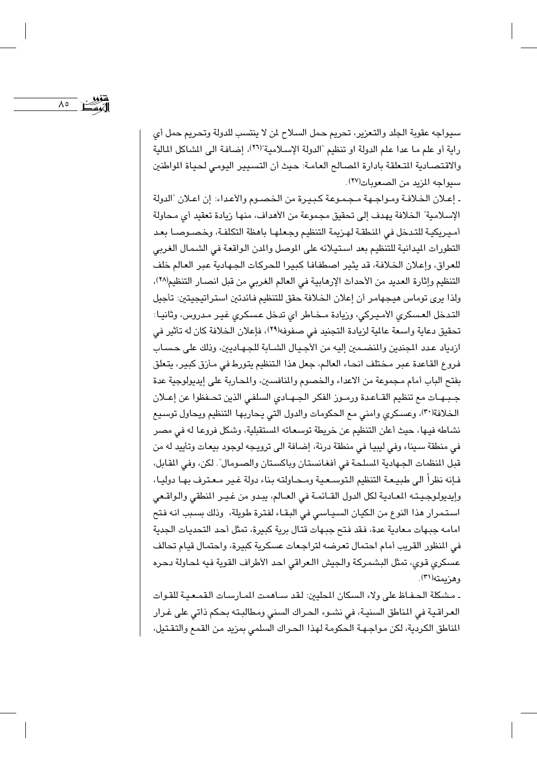$\Lambda$ 

سيواجه عقوبة الجلد والتعزير، تحريم حمل السلاح لن لا ينتسب للدولة وتحريم حمل أي راية أو علم ما عدا علم الدولة او تنظيم "الدولة الإسلامية"(٢٦)، إضافة الى المشاكل المالية والاقتصادية المتعلقة بادارة المصالح العامة: حيث أن التسبيير اليومي لحياة المواطنين سيواجه المزيد من الصعوبات(٢٧).

ـ إعـلان الخلافـة ومـواجـهـة مـجـمـوعـة كـبـيـرة من الـخـصـوم والأعـداء: إن اعـلان "الدولة الإسلامية" الخلافة يهدف إلى تحقيق مجموعة من الأهداف، منها زيادة تعقيد أي محاولة أميريكية للتدخل في النطقة لهريمة التنظيم وجعلها باهظة التكلفة، وخصوصا بعد التطورات الميدانية للتنظيم بعد استيلائه على الموصل والمدن الواقعة في الشمال الغربي للعراق، وإعلان الخلافة، قد يثير اصطفافا كبيرا للحركات الجهادية عبر العالم خلف التنظيم وإثارة العديد من الأحداث الإرهابية في العالم الغربي من قبل انصار التنظيم(٢٨)، ولذا يرى توماس هيجهامر أن إعلان الخلافة حقق للتنظيم فائدتين استراتيجيتين: تأجيل التدخل العسكري الأميركي، وزيادة مـخـاطر اي تدخل عسكري غيـر مـدروس، وثانيـا: تحقيق دعاية واسعة عالية لزيادة التجنيد في صفوفه(٢٩)، فإعلان الخلافة كان له تأثير في ازدياد عدد المجندين والمنضمين إليه من الأجيال الشـابة للجـهـاديين، وذلك على حسـاب فروع القاعدة عبر مختلف انحاء العالم، جعل هذا التنظيم يتورط في مأزق كبير، يتعلق بفتح الباب أمام مجموعة من الاعداء والخصوم والمنافسين، والمحاربة على إيديولوجية عدة جبهـات مع تنظيم القـاعـدة ورمـوز الفكر الجـهـادي السلفـي الذين تحـفظوا عن إعــلان الخلافة(٣٠)، وعسكري وامنى مع الحكومات والدول التي يحاربها التنظيم ويحاول توسيع نشاطه فيها، حيث أعلن التنظيم عن خريطة توسعاته المستقبلية، وشكل فروعا له في مصر في منطقة سيناء وفي ليبيا في منطقة درنة، إضافة الى ترويجه لوجود بيعات وتأييد له من قبل المنظمات الجهادية المسلحة في أفغانستان وباكستان والصومال". لكن، وفي المقابل، فـإنه نظراً الى طبيـعـة التنظيم الـتوسـعـيـة ومـحـاولتـه بـناء دولة غـير مـعـترف بهـا دوليـا، وإيديولوجيته المعادية لكل الدول القـائمـة في العـالم، يبدو من غيـر المنطقي والواقـعي استمرار هذا النوع من الكيان السياسي في البقاء لفترة طويلة، وذلك بسبب انه فتح امامه جبهات معادية عدة، فقد فتح جبهات قتال برية كبيرة، تمثل أحد التحديات الجدية في المنظور القريب أمام احتمال تعرضه لتراجعات عسكرية كبيرة، واحتمال قيام تحالف عسكري قوي، تمثل البشمركة والجيش االعراقي احد الأطراف القوية فيه لمحاولة دحره ه هن معته(٣١).

ـ مشكلة الحفـاظ على ولاء السكان المحليين: لقد سـاهمت المـارسـات القمـعـيـة للقـوات العراقية في المناطق السنية، في نشـوء الحراك السني ومطالبته بحكم ذاتي على غرار المناطق الكردية، لكن مواجهة الحكومة لهذا الحراك السلمي بمزيد من القمع والتقتيل،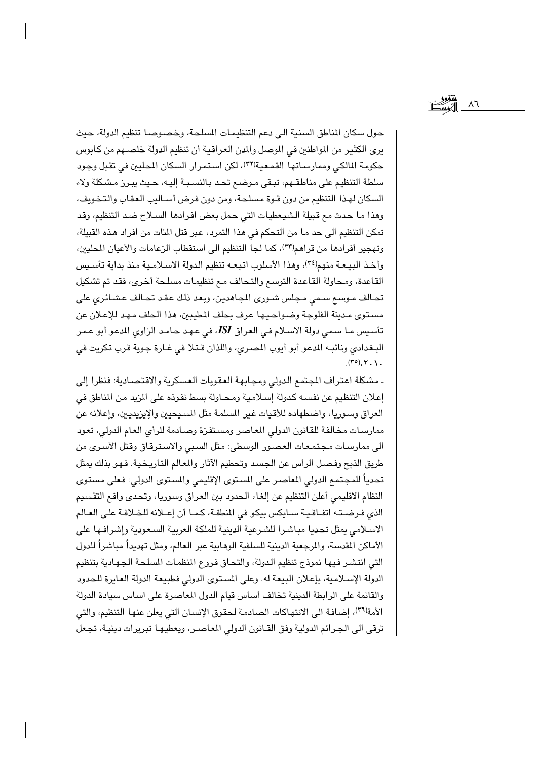حول سكان المناطق السنية الى دعم التنظيمات المسلحة، وخصوصا تنظيم الدولة، حيث يري الكثير من المواطنين في الموصل والمدن العراقية أن تنظيم الدولة خلصهم من كابوس حكومة المالكي وممارساتها القمعية(٣٦)، لكن استمرار السكان المليين في تقبل وجود سلطة التنظيم على مناطقهم، تبقى مـوضـع تحـد بـالنسـبـة إليـه، حـيث يبـرز مـشكلة ولاء السكان لهذا التنظيم من دون قـوة مسلحة، ومن دون فرض أسـاليب العقاب والتـخويف، وهذا ما حدث مع قبيلة الشيعطيات التي حمل بعض افرادها السلاح ضد التنظيم، وقد تمكن التنظيم الى حد ما من التحكم في هذا التمرد، عبر قتل المئات من افراد هذه القبيلة، وتهجير أفرادها من قراهم(٣٣)، كما لجا التنظيم الى استقطاب الزعامات والأعيان المحليين، وأخذ البيعة منهم(٣٤)، وهذا الأسلوب اتبعه تنظيم الدولة الاسلامية منذ بداية تأسيس القاعدة، ومحاولة القاعدة التوسع والتحالف مع تنظيمات مسلحة أخرى، فقد تم تشكيل تحالف موسع سمى مجلس شورى الجاهدين، وبعد ذلك عقد تحالف عشائرى على مستوى مدينة الفلوجة وضواحيها عرف بحلف المطيبين، هذا الحلف مهد للإعلان عن تأسيس مـا سمى دولة الاسـلام في العراق ISI، في عـهـد حـامـد الزاوي المدعو أبو عـمر البغدادي ونائبه المدعو أبو أيوب المصري، واللذان قتلا في غارة جوية قرب تكريت في  $(\mathbf{r} \circ)$ ,  $\mathbf{y}$ ,  $\mathbf{y}$ ,

ـ مشكلة اعتراف المجمع الدولي ومجابهة العقوبات العسكرية والاقتصادية: فنظرا إلى إعلان التنظيم عن نفسه كدولة إسلامية ومحـاولة بسط نفوذه على المزيد من المناطق في العراق وسوريا، واضطهاده للأقيات غير المسلمة مثل المسيحيين والإيزيديين، وإعلانه عن ممارسات مخالفة للقانون الدولى المعاصر ومستفزة وصادمة للرأى العام الدولي، تعود الى ممارسات مجتمعات العصور الوسطى: مثل السبي والاسترقاق وقتل الأسرى من طريق الذبح وفصل الرأس عن الجسد وتحطيم الآثار والمعالم التاريخية. فـهو بذلك يمثل تحدياً للمجتمع الدولي المعاصر على المستوى الإقليمي والمستوى الدولي: فعلى مستوى النظام الاقليمي أعلن التنظيم عن إلغاء الحدود بين العراق وسوريا، وتحدى واقع التقسيم الذي فرضته اتفاقية سايكس بيكو في المنطقة، كما أن إعلانه للخلافة على العالم الاسلامي يمثل تحديا مباشرا للشرعية الدينية للملكة العربية السعودية وإشرافها على الأماكن المقدسة، والمرجعية الدينية للسلفية الوهابية عبر العالم، ومثل تهديداً مباشراً للدول التي انتشر فيها نموذج تنظيم الدولة، والتحاق فروع المنظمات المسلحة الجهادية بتنظيم الدولة الإسلامية، بإعلان البيعة له. وعلى المستوى الدولي فطبيعة الدولة العايرة للحدود والقائمة على الرابطة الدينية تخالف أساس قيام الدول المعاصرة على اساس سيادة الدولة الأمة(٣٦)، إضافة الى الانتهاكات الصادمة لحقوق الإنسان التي يعلن عنها التنظيم، والتي ترقى الى الجرائم الدولية وفق القـانون الدولى المعاصـر، ويعطيهـا تبريرات دينيـة، تجـعل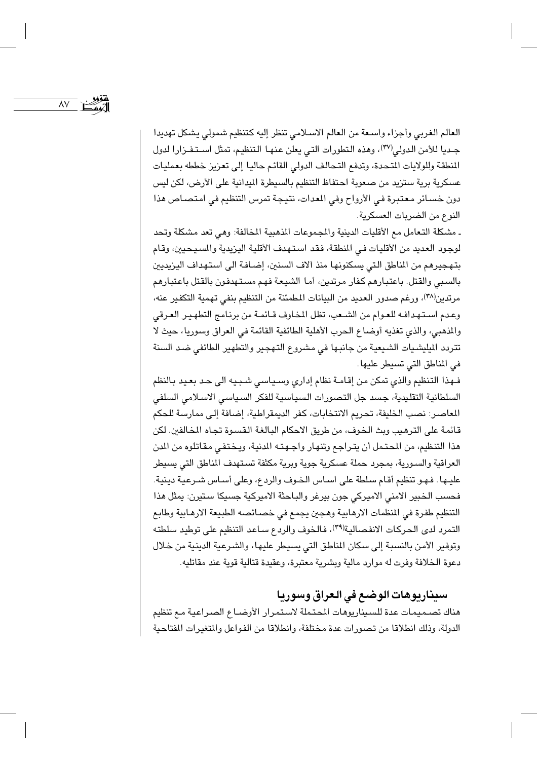$\lambda V$ 

العالم الغربي وأجزاء واسعة من العالم الاسلامي تنظر إليه كتنظيم شمولي يشكل تهديدا جديا للأمن الدولي(٣٧)، وهذه التطورات التي يعلن عنهـا التنظيم، تمثل اسـتـفـزارا لدول المنطقة وللولايات المتحدة، وتدفع التحالف الدولي القائم حاليا إلى تعزيز خططه بعمليات عسكرية برية ستزيد من صعوبة احتفاظ التنظيم بالسيطرة الميدانية على الأرض، لكن ليس دون خسائر معتبرة في الأرواح وفي المدات، نتيجة تمرس التنظيم في امتصاص هذا النوع من الضربات العسكرية.

ـ مشكلة التعامل مع الأقليات الدينية والمجموعات المذهبية المخالفة: وهي تعد مشكلة وتحد لوجود العديد من الأقليات في المنطقة، فقد استهدف الأقلية اليزيدية والمسيحيين، وقام بتهجيرهم من المناطق التي يسكنونها منذ آلاف السنين، إضـافة الى استهداف اليزيديين بالسبي والقتل. باعتبارهم كفار مرتدين، أما الشيعة فهم مستهدفون بالقتل باعتبارهم مرتدين(٣٨)، ورغم صدور العديد من البيانات المطمئنة من التنظيم بنفي تهمية التكفير عنه، وعدم استهدافه للعوام من الشعب، تظل المخاوف قـائمـة من برنـامج التطهـير العرقي والمذهبي، والذي تغذيه أوضاع الحرب الأهلية الطائفية القائمة في العراق وسوريا، حيث لا تتردد الميليشيات الشيعية من جانبها في مشروع التهجير والتطهير الطائفي ضد السنة في المناطق التي تسيطر عليها .

فهذا التنظيم والذي تمكن من إقامة نظام إداري وسياسي شبيه الى حد بعيد بالنظم السلطانية التقليدية، جسد جل التصورات السياسية للفكر السياسي الاسلامي السلفى المعاصر: نصب الخليفة، تحريم الانتخابات، كفر الديمقراطية، إضافة إلى ممارسة للحكم قائمة على الترهيب وبث الخوف، من طريق الاحكام البالغة القسوة تجاه المخالفين. لكن هذا التنظيم، من المحتمل أن يتراجع وتنهار واجهته المدنية، ويختفي مقاتلوه من المن العراقية والسورية، بمجرد حملة عسكرية جوية وبرية مكثفة تستهدف المناطق التي يسيطر عليـها . فـهـو تنظيم أقـام سـلطة على اسـاس الـخـوف والرد ع، وعلى أسـاس شـرعيـة دينية . فحسب الخبير الامنى الاميركي جون بيرغر والباحثة الاميركية جسيكا ستيرن: يمثل هذا التنظيم طفرة في المنظمات الارهابية وهجين يجمع في خصـائصـه الطبيعة الارهـابية وطابع التمرد لدى الحركات الانفصالية(٣٩)، فالخوف والردع سـاعد التنظيم على توطيد سلطته وتوفير الأمن بالنسبة إلى سكان المناطق التي يسيطر عليها، والشرعية الدينية من خلال دعوة الخلافة وفرت له موارد مالية وبشرية معتبرة، وعقيدة قتالية قوية عند مقاتليه.

### سيناريوهات الوضع في العراق وسوريا

هناك تصميمات عدة للسيناريوهات المحتملة لاستمرار الأوضـاع الصراعية مـع تنظيم الدولة، وذلك انطلاقا من تصورات عدة مختلفة، وانطلاقا من الفواعل والمتغيرات المفتاحية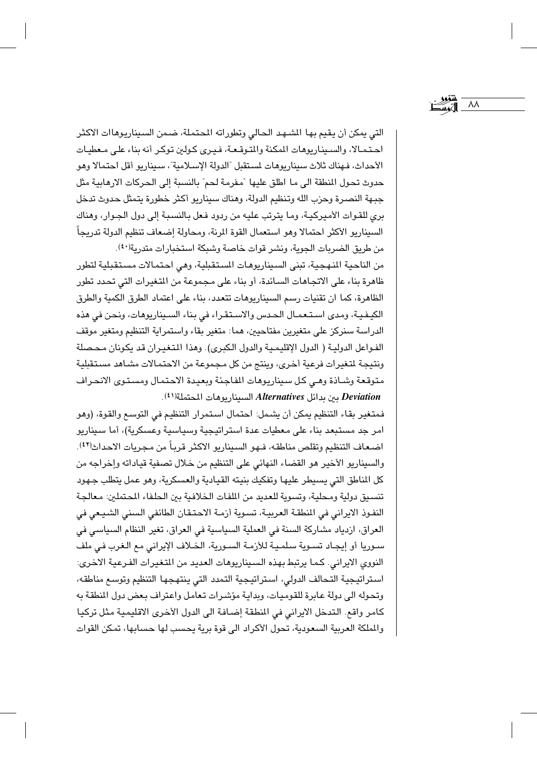التي يمكن أن يقيم بها الشـهـد الحالي وتطوراته المحتملة، ضـمن السـيناريـوهـاات الاكثـر احتمالا، والسيناريوهات المكنة والمتوقعة، فيرى كولين توكر أنه بناء على معطيات الأحداث، فهناك ثلاث سيناريوهات لستقبل "الدولة الإسلامية"، سيناريو أقل احتمالا وهو حدوث تحول المنطقة الى مـا اطلق عليها "مفرمـة لـحم" بالنسبة إلى الـحركات الارهابيـة مثل جبـهة النصـرة وحزب الله وتنظيم الدولة، وهناك سيناريو أكثر خطورة يتمثل حدوث تدخل بري للقـوات الأمـيركيـة، ومـا يترتب عليه من ردود فـعل بـالنسـبـة إلـى دول الـجـوار، وهناك السبيناريو الأكثر احتمالا وهو استعمال القوة المرنة، ومحاولة إضعاف تنظيم الدولة تدريجاً من طريق الضربات الجوية، ونشر قوات خاصة وشبكة استخبارات متدرية(٤٠).

 $\lambda\lambda$ 

من الناحية النـهـجية، تبنى السـيناريوهـات السـتـقبليـة، وهـي احـتمـالات مسـتـقبليـة لتطور ظاهرة بناء على الاتجاهات السائدة، أو بناء على مجموعة من المتغيرات التي تحدد تطور الظاهرة، كما ان تقنيات رسم السيناريوهات تتعدد، بناء على اعتماد الطرق الكمية والطرق الكيفية، ومدى استعمال الحدس والاستقراء في بناء السيناريوهات، ونحن في هذه الدراسة سنركز على متغيرين مفتاحيين، هما: متغير بقاء واستمراية التنظيم ومتغير موقف الفـواعل الدوليـة ( الدول الإقليمـيـة والدول الكبرى). وهذا المتغيـران قد يكونان مـحـصلة ونتيجة لمتغيرات فرعية أخرى، وينتج من كل مجموعة من الاحتمالات مشاهد مستقبلية متوقعة وشـاذة وهـي كل سيناريوهات المفاجئة وبعيدة الاحتمال ومستوى الانحراف Deviation بين بدائل Alternatives السيناريوهات المحتملة(1).

فمتغير بقاء التنظيم يمكن أن يشمل: احتمال استمرار التنظيم في التوسع والقوة، (وهو امر جد مستبعد بناء على معطيات عدة استراتيجية وسياسية وعسكرية)، أما سيناريو اضعاف التنظيم وتقلص مناطقه، فـهو السيناريو الاكثر قرباً من مـجريات الاحداث(٤٢). والسيناريو الأخير هو القضاء النهائي على التنظيم من خلال تصفية قياداته وإخراجه من كل المناطق التي يسيطر عليها وتفكيك بنيته القيادية والعسكرية، وهو عمل يتطلب جهود تنسيق دولية ومحلية، وتسوية للعديد من الملفات الخلافية بين الحلفاء المحتملين: معالجة النفـوذ الايراني في المنطقـة العربيـة، تسـوية أزمـة الاحـتـقـان الطائفي السنني الشـيـعي في العراق، ازدياد مشاركة السنة في العملية السياسية في العراق، تغير النظام السياسي في سوريا أو إيجاد تسوية سلمية للأزمة السورية، الخلاف الإيراني مع الغرب في ملف النووي الايراني. كما يرتبط بهذه السيناريوهات العديد من التغيرات الفرعية الاخرى: استراتيجية التحالف الدولي، استراتيجية التمدد التي ينتهجها التنظيم وتوسع مناطقه، وتحوله الى دولة عابرة للقوميات، وبداية مؤشرات تعامل واعتراف بعض دول المنطقة به كامر واقع. التدخل الايراني في المنطقة إضافة الى الدول الأخرى الاقليمية مثل تركيا والملكة العربية السعودية، تحول الأكراد الى قوة برية يحسب لها حسابها، تمكن القوات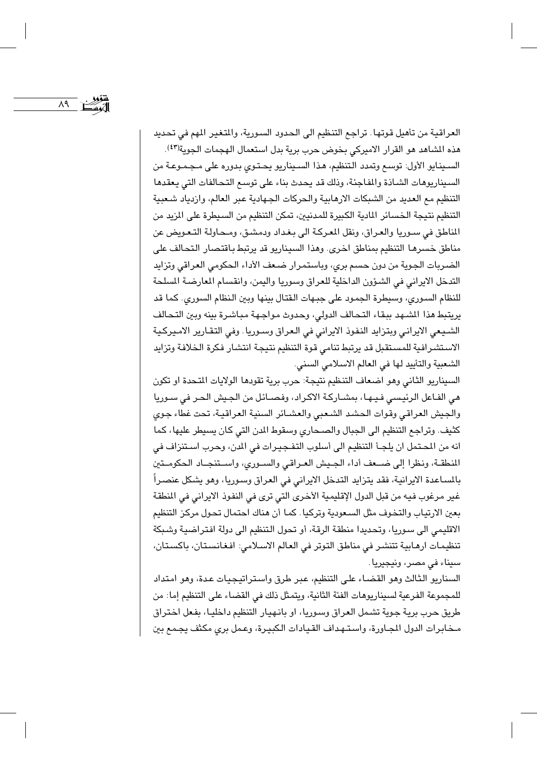العراقية من تأهيل قوتها . تراجع التنظيم الى الحدود السورية، والمتغير المهم في تحديد هذه المشاهد هو القرار الاميركي بخوض حرب برية بدل استعمال الهجمات الجوية(٤٣). السـينـايو الأول: توسـع وتمدد الـتنظيم، هـذا السـيناريو يـحـتـوي بـدوره على مـجـمـوعـة من السبيناريوهات الشاذة والمفاجئة، وذلك قد يحدث بناء على توسع التحالفات التي يعقدها التنظيم مع العديد من الشبكات الارهابية والحركات الجهادية عبر العالم، وازدياد شعبية التنظيم نتيجة الخسائر المادية الكبيرة للمدنيين، تمكن التنظيم من السيطرة على المزيد من المناطق في سوريا والعراق، ونقل المعركة الى بغداد ودمشق، ومحاولة التعويض عن مناطق خسرها التنظيم بمناطق اخرى. وهذا السيناريو قد يرتبط باقتصار التحالف على الضربات الجوية من دون حسم برى، وباستمرار ضعف الأداء الحكومي العراقي وتزايد التدخل الايراني في الشؤون الداخلية للعراق وسوريا واليمن، وانقسام المعارضة المسلحة للنظام السوري، وسيطرة الجمود على جبهات القتال بينها وبين النظام السوري. كما قد يريتبط هذا الشهد ببقاء التحالف الدولى، وحدوث مواجهة مباشرة بينه وبين التحالف الشيعي الايراني وبتزايد النفوذ الايراني في العراق وسـوريا . وفي التقـارير الامـيركـية الاستشرافية للمستقبل قد يرتبط تنامي قوة التنظيم نتيجة انتشار فكرة الخلافة وتزايد الشعبية والتأييد لها في العالم الاسلامي السني.

 $\Lambda$ 9 T

السيناريو الثاني وهو اضعاف التنظيم نتيجة: حرب برية تقودها الولايات المتحدة او تكون هي الفاعل الرئيسي فيها، بمشاركة الاكراد، وفصائل من الجيش الحر في سوريا والجيش العراقي وقوات الحشد الشعبي والعشـائر السنية العراقيـة، تحت غطاء جوى كثيف. وتراجع التنظيم الى الجبال والصحاري وسقوط الدن التي كان يسيطر عليها، كما انه من المحتمل ان يلجـّا التنظيم الى أسلوب التفـجيـرات في الدن، وحرب اسـتنزاف في المنطقـة، ونظرا إلى ضـعف أداء الجيش العـراقي والسـوري، واسـتنجـاد الحكومـتين بالسـاعدة الايرانية، فقد يتزايد التدخل الايراني في العراق وسـوريا، وهو يشكل عنصـراً غير مرغوب فيه من قبل الدول الإقليمية الأخرى التي ترى في النفوذ الايراني في المنطقة بعين الارتياب والتخوف مثل السعودية وتركيا. كما أن هناك احتمال تحول مركز التنظيم الاقليمي الى سوريا، وتحديدا منطقة الرقة، أو تحول التنظيم الى دولة افتراضية وشبكة تنظيمات ارهابية تتنشر في مناطق التوتر في العالم الاسلامي: افغانستان، باكستان، سيناء في مصر، ونيجيريا.

السناريو الثالث وهو القضاء على التنظيم، عبر طرق واستراتيجيات عدة، وهو امتداد للمجموعة الفرعية لسيناريوهات الفئة الثانية، ويتمثل ذلك في القضاء على التنظيم إما: من طريق حرب برية جوية تشمل العراق وسوريا، او بانهيار التنظيم داخليا، بفعل اختراق مخابرات الدول المجاورة، واستهداف القيادات الكبيرة، وعمل برى مكثف يجمع بين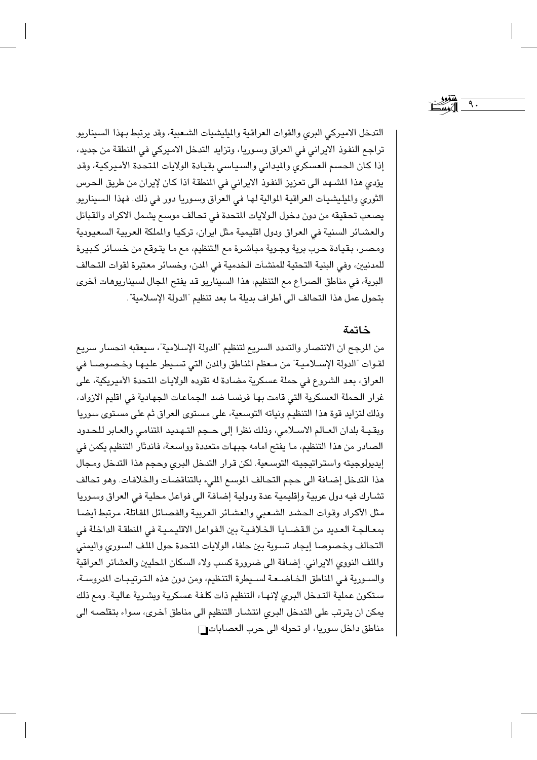التدخل الاميركي البرى والقوات العراقية والميليشيات الشعبية، وقد يرتبط بهذا السيناريو تراجع النفوذ الايراني في العراق وسوريا، وتزايد التدخل الاميركي في المنطقة من جديد، إذا كان الحسم العسكرى والميداني والسياسي بقيادة الولايات المتحدة الأميركية، وقد يؤدي هذا المشهد الى تعزيز النفوذ الايراني في المنطقة اذا كان لإيران من طريق الحرس الثوري والميليشيات العراقية الموالية لها في العراق وسوريا دور في ذلك. فهذا السيناريو يصعب تحقيقه من دون دخول الولايات المتحدة في تحالف موسع يشمل الاكراد والقبائل والعشائر السنية في العراق ودول اقليمية مثل ايران، تركيا والملكة العربية السعيودية ومصر، بقيادة حرب برية وجوية مباشرة مع التنظيم، مع ما يتوقع من خسائر كبيرة للمدنيين، وفي البنية التحتية للمنشآت الخدمية في المدن، وخسائر معتبرة لقوات التحالف البرية، في مناطق الصراع مع التنظيم، هذا السيناريو قد يفتح الجال لسيناريوهات أخرى بتحول عمل هذا التحالف الى أطراف بديلة ما بعد تنظيم "الدولة الإسلامية".

#### خاتمة

٩.

من المرجح ان الانتصار والتمدد السريع لتنظيم "الدولة الإسلامية"، سيعقبه انحسار سريع لقوات "الدولة الإسـلاميـة" من مـعظم المناطق والمدن التي تسـيطر عليـهـا وخـصـوصـا في العراق، بعد الشروع في حملة عسكرية مضادة له تقوده الولايات المتحدة الأميريكية، على غرار الحملة العسكرية التي قامت بها فرنسا ضد الجماعات الجهادية في اقليم الازواد، وذلك لتزايد قوة هذا التنظيم ونياته التوسعية، على مستوى العراق ثم على مستوى سوريا وبقيـة بلدان العـالم الاسـلامي، وذلك نظرا إلى حـجم التـهـديد المتنامي والعـابر للحـدود الصادر من هذا التنظيم، ما يفتح امامه جبهات متعددة وواسعة، فاندثار التنظيم يكمن في إيديولوجيته واستراتيجيته التوسعية. لكن قرار التدخل البرى وحجم هذا التدخل ومجال هذا التدخل إضافة الى حجم التحالف الموسع المليء بالتناقضات والخلافات. وهو تحالف تشارك فيه دول عربية وإقليمية عدة ودولية إضافة الى فواعل محلية في العراق وسوريا مثل الأكراد وقوات الحشد الشعبي والعشائر العربية والفصائل المقاتلة، مرتبط أيضا بمعـالجـة العديد من الـقضـايـا الخـلافـيـة بين الـفـواعـل الاقليـمـيـة في المنطقـة الداخلة في التحالف وخصوصا إيجاد تسوية بين حلفاء الولايات المتحدة حول الملف السورى واليمنى والملف النووي الايراني. إضافة الى ضرورة كسب ولاء السكان المحليين والعشائر العراقية والسورية في المناطق الخاضعة لسيطرة التنظيم، ومن دون هذه الترتيبات المدروسة، ستكون عملية التدخل البرى لإنهاء التنظيم ذات كلفة عسكرية وبشرية عالية. ومع ذلك يمكن ان يترتب على التدخل البرى انتشار التنظيم الى مناطق أخرى، سواء بتقلصه الى مناطق داخل سوريا، او تحوله الى حرب العصابات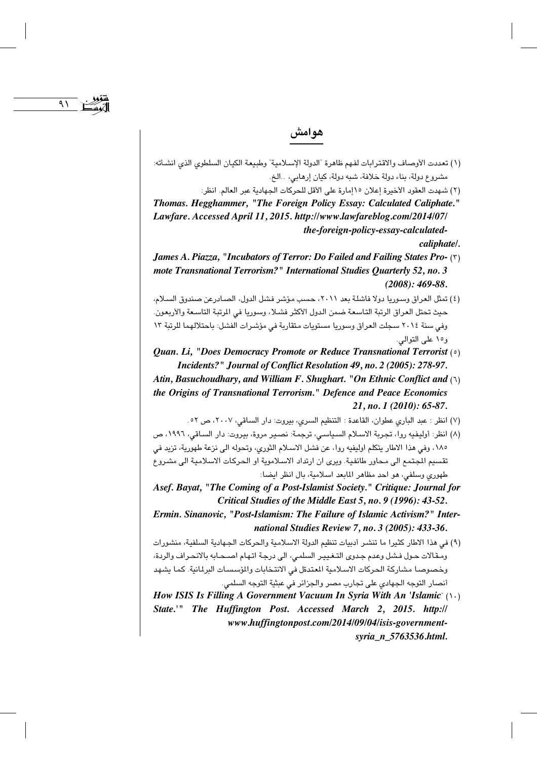# هوامش

 $\Lambda$ 

- (١) تعددت الأوصاف والاقترابات لفهم ظاهرة "الدولة الإسلامية" وطبيعة الكيان السلطوي الذي انشأته: مشروع دولة، بناء دولة خلافة، شبه دولة، كيان إرهابي، ..الخ.
	- (٢) شهدت العقود الأخيرة إعلان ١٥إمارة على الأقل للحركات الجهادية عبر العالم. انظر:
- Thomas. Hegghammer, "The Foreign Policy Essay: Calculated Caliphate." Lawfare. Accessed April 11, 2015. http://www.lawfareblog.com/2014/07/ the-foreign-policy-essay-calculated-

caliphate/.

- James A. Piazza, "Incubators of Terror: Do Failed and Failing States Pro- (٢) mote Transnational Terrorism?" International Studies Quarterly 52, no. 3  $(2008): 469-88.$
- (٤) تمثل العراق وسوريا دولا فاشلة بعد ٢٠١١، حسب مؤشر فشل الدول، الصـادرعن صندوق السـلام، حيث تحتل العراق الرتبة التاسعة ضمن الدول الأكثر فشلا، وسوريا في المرتبة التاسعة والأربعون. وفي سنة ٢٠١٤ سجلت العراق وسوريا مستويات متقاربة في مؤشرات الفشل: باحتلالهما للرتبة ١٣ و١٥ على التوالي.
- Quan. Li, "Does Democracy Promote or Reduce Transnational Terrorist  $(0)$ Incidents?" Journal of Conflict Resolution 49, no. 2 (2005): 278-97.
- Atin, Basuchoudhary, and William F. Shughart. "On Ethnic Conflict and  $(1)$ the Origins of Transnational Terrorism." Defence and Peace Economics  $21$ , no. 1 (2010): 65-87.
	- (٧) انظر : عبد الباري عطوان، القاعدة : التنظيم السرى، بيروت: دار الساقى، ٢٠٠٧، ص ٥٢.
- (٨) انظر: أوليفيه روا، تجربة الاسلام السياسي، ترجمة: نصير مروة، بيروت: دار الساقي، ١٩٩٦، ص ١٨٥، وفي هذا الاطار يتكلم اوليفيه روا، عن فشل الاسلام الثوري، وتحوله الى نزعة طهورية، تزيد في تقسيم المجتمع الى محاور طائفية. ويرى ان ارتداد الاسلاموية او الحركات الاسلامية الى مشروع طهوري وسلفي، هو احد مظاهر المابعد اسلامية، بال انظر ايضا:
- Asef. Bayat, "The Coming of a Post-Islamist Society." Critique: Journal for Critical Studies of the Middle East 5, no. 9 (1996): 43-52.
- Ermin. Sinanovic, "Post-Islamism: The Failure of Islamic Activism?" International Studies Review 7, no. 3 (2005): 433-36.
- (٩) في هذا الاطار كثيرا ما تنشر أدبيات تنظيم الدولة الاسلامية والحركات الجهادية السلفية، منشورات ومقالات حول فشل وعدم جدوى التغيير السلمى، الى درجة اتهام اصحابه بالانحراف والردة، وخصوصا مشاركة الحركات الاسلامية المتدةل في الانتخابات والمؤسسات البرلمانية. كما يشهد أنصار التوجه الجهادي على تجارب مصر والجزائر في عبثية التوجه السلمي.
- How ISIS Is Filling A Government Vacuum In Syria With An 'Islamic'  $( \setminus \cdot )$ State.'" The Huffington Post. Accessed March 2, 2015. http:// www.huffingtonpost.com/2014/09/04/isis-governmentsyria\_n\_5763536.html.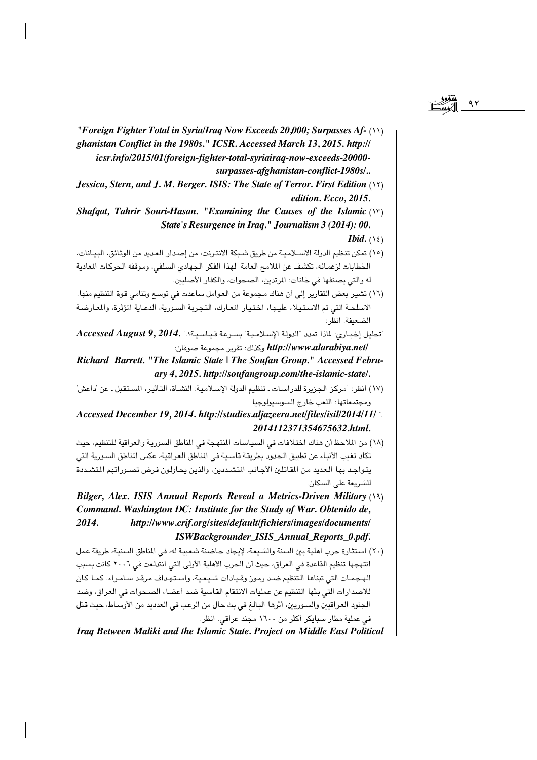- "Foreign Fighter Total in Syria/Iraq Now Exceeds 20,000; Surpasses Af- (\\) ghanistan Conflict in the 1980s." ICSR. Accessed March 13, 2015. http:// icsr.info/2015/01/foreign-fighter-total-syriairaq-now-exceeds-20000surpasses-afghanistan-conflict-1980s/..
- Jessica, Stern, and J. M. Berger, JSJS: The State of Terror, First Edition (\'\'). edition. Ecco. 2015.
- Shafqat, Tahrir Souri-Hasan. "Examining the Causes of the Islamic  $(Y)$ State's Resurgence in Iraa." Journalism 3 (2014): 00.

- (١٥) تمكن تنظيم الدولة الاسـلامـيـة من طريق شـيكة الانتـرنت، من إصـدار العـديد من الوثـائق، البيـانات، الخطابات لزعمائه، تكشف عن الملامح العامة لهذا الفكر الجهادي السلفي، وموقفه الحركات المعادية له والتي يصنفها في خانات: المرتدين، الصحوات، والكفار الأصليين.
- (١٦) تشير بعض التقارير إلى أن هناك مجموعة من العوامل ساعدت في توسع وتنامي قوة التنظيم منها: الاسلحة التي تم الاستيلاء عليها، اختيار المعارك، التجربة السورية، الدعاية المؤثرة، والمعارضة الضعيفة. انظر:
- تحليل إخباري: لماذا تمدد "الدولة الإسلامية" سبرعة قياسية؟." Accessed August 9, 2014. /http://www.alarabiya.net وكذلك: تقرير مجموعة صوفان:
- Richard Barrett. "The Islamic State | The Soufan Group." Accessed February 4, 2015. http://soufangroup.com/the-islamic-state/.
- (١٧) انظر: "مركز الجزيرة للدراسات ـ تنظيم الدولة الإسلامية: النشـأة، التأثير، المستقبل ـ عن 'داعش' ومجتمعاتها: اللعب خارج السوسبولوجيا
- Accessed December 19, 2014. http://studies.aljazeera.net/files/isil/2014/11/ 2014112371354675632.html.
- (١٨) من الملاحظ أن هناك اختلافات في السياسات المنتهجة في المناطق السورية والعراقية للتنظيم، حيث تكاد تغيب الأنباء عن تطبيق الحدود بطريقة قاسية فى المناطق العراقية، عكس المناطق السورية التي يتواجد بها العديد من المقاتلين الأجانب المتشددين، والذين يحاولون فرض تصوراتهم المتشددة للشريعة على السكان.
- Bilger, Alex. ISIS Annual Reports Reveal a Metrics-Driven Military (19) Command. Washington DC: Institute for the Study of War. Obtenido de, 2014. http://www.crif.org/sites/default/fichiers/images/documents/ ISWBackgrounder\_ISIS\_Annual\_Reports\_0.pdf.
- (٢٠) استثارة حرب اهلية بين السنة والشيعة، لإيجاد حاضنة شعبية له، في المناطق السنية، طريقة عمل انتهجها تنظيم القاعدة في العراق، حيث أن الحرب الأهلية الأولى التي انتدلعت في ٢٠٠٦ كانت بسبب الهجمـات التي تبناها التنظيم ضـد رموز وقـيادات شـيعـية، واسـتـهداف مرقـد سـامـراء. كمـا كان للاصدارات التي بثها التنظيم عن عمليات الانتقام القاسية ضد أعضاء الصحوات في العراق، وضد الجنود العراقيين والسئوريين، أثرها البالغ في بث حال من الرعب في العدديد من الأوسـاط، حيث قتل في عملية مطار سبايكر أكثر من ١٦٠٠ مجند عراقي. انظر:

Iraq Between Maliki and the Islamic State. Project on Middle East Political

*Ibid.*  $(15)$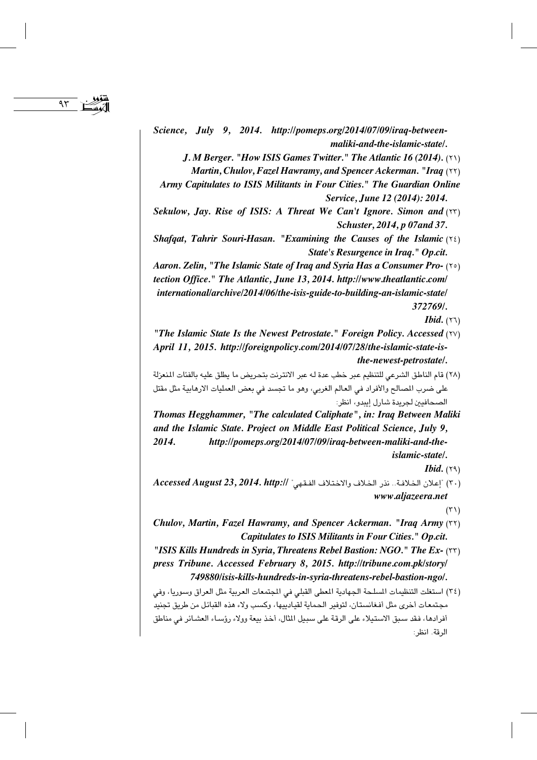Science, July 9, 2014. http://pomeps.org/2014/07/09/iraq-betweenmaliki-and-the-islamic-state/.

 $95$ 

 $I. M$  Berger. "How ISIS Games Twitter." The Atlantic 16 (2014). ( $\uparrow$ )

Martin, Chulov, Fazel Hawramy, and Spencer Ackerman. "Iraq (YY)

- Army Capitulates to ISIS Militants in Four Cities." The Guardian Online Service, June 12 (2014): 2014.
- Sekulow, Jay. Rise of ISIS: A Threat We Can't Ignore. Simon and (YY) Schuster, 2014, p 07 and 37.
- Shafqat, Tahrir Souri-Hasan. "Examining the Causes of the Islamic  $(36)$ State's Resurgence in Iraq." Op.cit.
- Aaron, Zelin, "The Islamic State of Iraq and Syria Has a Consumer Pro- (xo) tection Office." The Atlantic, June 13, 2014. http://www.theatlantic.com/ international/archive/2014/06/the-isis-guide-to-building-an-islamic-state/ 372769/

- "The Islamic State Is the Newest Petrostate." Foreign Policy. Accessed (YV) April 11, 2015. http://foreignpolicy.com/2014/07/28/the-islamic-state-isthe-newest-petrostate/.
- (٢٨) قام الناطق الشرعي للتنظيم عبر خطب عدة له عبر الانترنت بتحريض ما يطلق عليه بالفئات المنعزلة على ضرب المصالح والأفراد في العالم الغربي، وهو ما تجسد في بعض العمليات الارهابية مثل مقتل الصحافيين لجريدة شارل إيبدو، انظر:
- Thomas Hegghammer, "The calculated Caliphate", in: Iraq Between Maliki and the Islamic State. Project on Middle East Political Science, July 9, 2014. http://pomeps.org/2014/07/09/iraq-between-maliki-and-theislamic-state/.

*Ibid.*  $(79)$ 

 $Accessed$  / ") إعلان الخلافة.. نذر الخلاف والاختلاف الفقهي" //Accessed August 23, 2014. http:// www.aljazeera.net

 $(\Upsilon)$ 

- Chulov, Martin, Fazel Hawramy, and Spencer Ackerman. "Iraq Army (\*\*) Capitulates to ISIS Militants in Four Cities." Op.cit.
- "ISIS Kills Hundreds in Syria, Threatens Rebel Bastion: NGO." The Ex- (٢٢) press Tribune. Accessed February 8, 2015. http://tribune.com.pk/story/ 749880/isis-kills-hundreds-in-syria-threatens-rebel-bastion-ngo/.
- (٣٤) استغلت التنظيمات المسلحة الجهادية المعطى القبلي في المجتمعات العربية مثل العراق وسوريا، وفي مجتمعات أخرى مثل أفغانستان، لتوفير الحماية لقيادييها، وكسب ولاء هذه القبائل من طريق تجنيد أفرادها، فقد سبق الاستيلاء على الرقة على سبيل المثال، أخذ بيعة وولاء رؤساء العشائر في مناطق الرقة. انظر:

*Ibid.*  $(77)$